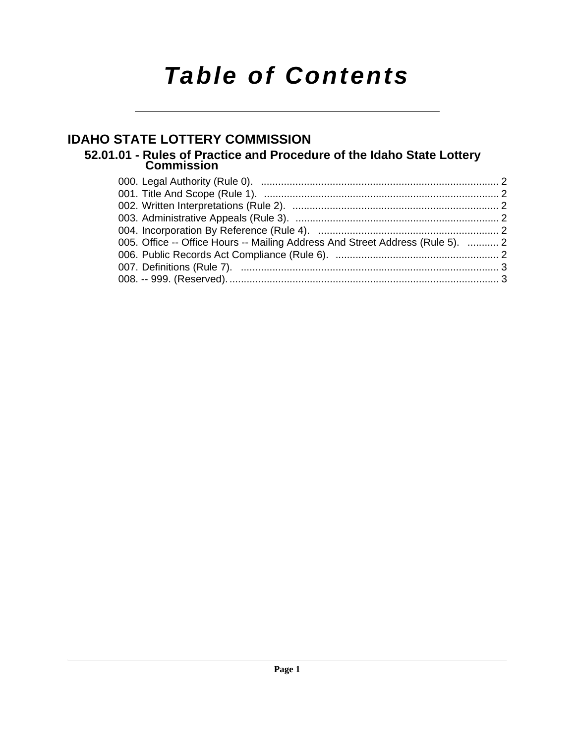# *Table of Contents*

### **[IDAHO STATE LOTTERY COMMISSION](#page-1-0)**

### **[52.01.01 - Rules of Practice and Procedure of the Idaho State Lottery Commission](#page-1-1)**

| 005. Office -- Office Hours -- Mailing Address And Street Address (Rule 5).  2 |  |
|--------------------------------------------------------------------------------|--|
|                                                                                |  |
|                                                                                |  |
|                                                                                |  |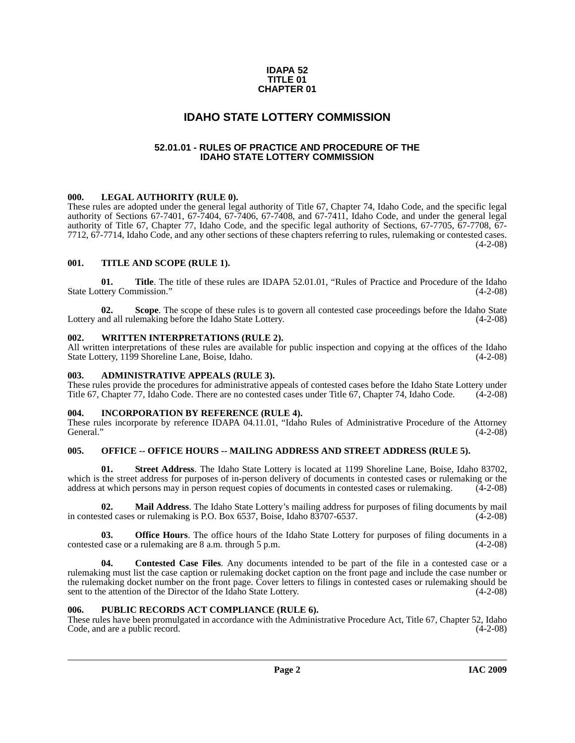#### **IDAPA 52 TITLE 01 CHAPTER 01**

### **IDAHO STATE LOTTERY COMMISSION**

#### **52.01.01 - RULES OF PRACTICE AND PROCEDURE OF THE IDAHO STATE LOTTERY COMMISSION**

#### <span id="page-1-2"></span><span id="page-1-1"></span><span id="page-1-0"></span>**000. LEGAL AUTHORITY (RULE 0).**

These rules are adopted under the general legal authority of Title 67, Chapter 74, Idaho Code, and the specific legal authority of Sections 67-7401, 67-7404, 67-7406, 67-7408, and 67-7411, Idaho Code, and under the general legal authority of Title 67, Chapter 77, Idaho Code, and the specific legal authority of Sections, 67-7705, 67-7708, 67- 7712, 67-7714, Idaho Code, and any other sections of these chapters referring to rules, rulemaking or contested cases.  $(4-2-08)$ 

#### <span id="page-1-3"></span>**001. TITLE AND SCOPE (RULE 1).**

**01. Title**. The title of these rules are IDAPA 52.01.01, "Rules of Practice and Procedure of the Idaho State Lottery Commission." (4-2-08)

**02.** Scope. The scope of these rules is to govern all contested case proceedings before the Idaho State nd all rulemaking before the Idaho State Lottery. (4-2-08) Lottery and all rulemaking before the Idaho State Lottery.

#### <span id="page-1-4"></span>**002. WRITTEN INTERPRETATIONS (RULE 2).**

All written interpretations of these rules are available for public inspection and copying at the offices of the Idaho State Lottery, 1199 Shoreline Lane, Boise, Idaho. (4-2-08)

#### <span id="page-1-5"></span>**003. ADMINISTRATIVE APPEALS (RULE 3).**

These rules provide the procedures for administrative appeals of contested cases before the Idaho State Lottery under<br>Title 67, Chapter 77, Idaho Code, There are no contested cases under Title 67, Chapter 74, Idaho Code. ( Title 67, Chapter 77, Idaho Code. There are no contested cases under Title 67, Chapter 74, Idaho Code.

#### <span id="page-1-6"></span>**004. INCORPORATION BY REFERENCE (RULE 4).**

These rules incorporate by reference IDAPA 04.11.01, "Idaho Rules of Administrative Procedure of the Attorney General."  $(4-2-08)$ 

#### <span id="page-1-7"></span>005. OFFICE -- OFFICE HOURS -- MAILING ADDRESS AND STREET ADDRESS (RULE 5).

**01. Street Address**. The Idaho State Lottery is located at 1199 Shoreline Lane, Boise, Idaho 83702, which is the street address for purposes of in-person delivery of documents in contested cases or rulemaking or the address at which persons may in person request copies of documents in contested cases or rulemaking. (4-2-08)

**02. Mail Address**. The Idaho State Lottery's mailing address for purposes of filing documents by mail in contested cases or rulemaking is P.O. Box 6537, Boise, Idaho 83707-6537.

**03. Office Hours**. The office hours of the Idaho State Lottery for purposes of filing documents in a contested case or a rulemaking are 8 a.m. through 5 p.m. (4-2-08)

**04. Contested Case Files**. Any documents intended to be part of the file in a contested case or a rulemaking must list the case caption or rulemaking docket caption on the front page and include the case number or the rulemaking docket number on the front page. Cover letters to filings in contested cases or rulemaking should be sent to the attention of the Director of the Idaho State Lottery. (4-2-08)

#### <span id="page-1-8"></span>**006. PUBLIC RECORDS ACT COMPLIANCE (RULE 6).**

These rules have been promulgated in accordance with the Administrative Procedure Act, Title 67, Chapter 52, Idaho Code, and are a public record. (4-2-08) Code, and are a public record.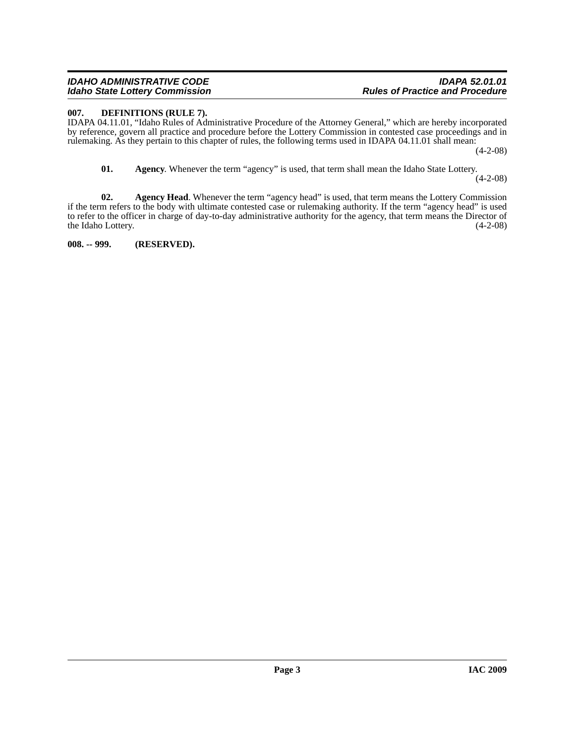#### *IDAHO ADMINISTRATIVE CODE IDAPA 52.01.01 Idaho State Lottery Commission*

#### <span id="page-2-4"></span><span id="page-2-0"></span>**007. DEFINITIONS (RULE 7).**

IDAPA 04.11.01, "Idaho Rules of Administrative Procedure of the Attorney General," which are hereby incorporated by reference, govern all practice and procedure before the Lottery Commission in contested case proceedings and in rulemaking. As they pertain to this chapter of rules, the following terms used in IDAPA 04.11.01 shall mean: (4-2-08)

<span id="page-2-3"></span><span id="page-2-2"></span>**01. Agency**. Whenever the term "agency" is used, that term shall mean the Idaho State Lottery. (4-2-08)

**02.** Agency Head. Whenever the term "agency head" is used, that term means the Lottery Commission if the term refers to the body with ultimate contested case or rulemaking authority. If the term "agency head" is used to refer to the officer in charge of day-to-day administrative authority for the agency, that term means the Director of the Idaho Lottery. (4-2-08) the Idaho Lottery.

<span id="page-2-1"></span>**008. -- 999. (RESERVED).**